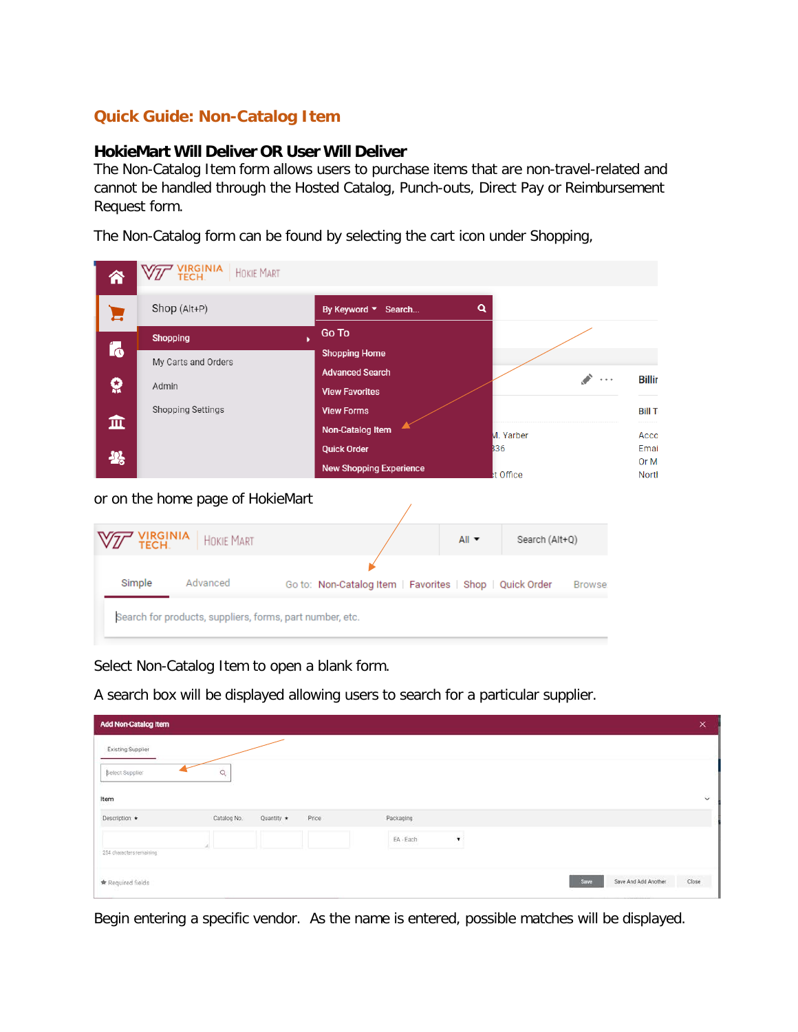## **Quick Guide: Non-Catalog Item**

## **HokieMart Will Deliver OR User Will Deliver**

The Non-Catalog Item form allows users to purchase items that are non-travel-related and cannot be handled through the Hosted Catalog, Punch-outs, Direct Pay or Reimbursement Request form.

The Non-Catalog form can be found by selecting the cart icon under Shopping,

| 급                 | Shop (Alt+P)                                                               | By Keyword ▼ Search                                                                                                                                                                    | Q                                                                                                                        |
|-------------------|----------------------------------------------------------------------------|----------------------------------------------------------------------------------------------------------------------------------------------------------------------------------------|--------------------------------------------------------------------------------------------------------------------------|
| Íó<br>õ<br>血<br>卷 | <b>Shopping</b><br>My Carts and Orders<br>Admin<br>Shopping Settings       | Go To<br>ь<br><b>Shopping Home</b><br><b>Advanced Search</b><br><b>View Favorites</b><br><b>View Forms</b><br>Non-Catalog Item<br><b>Quick Order</b><br><b>New Shopping Experience</b> | <b>Billir</b><br>$\sim$ $\sim$ $\sim$<br><b>Bill To</b><br>M. Yarber<br>Acco<br>B36<br>Emai<br>Or M<br>t Office<br>North |
|                   | or on the home page of HokieMart<br>'IRGINIA<br>'ECH.<br><b>HOKIE MART</b> | $All -$                                                                                                                                                                                | Search (Alt+Q)                                                                                                           |
|                   | Simple<br>Advanced                                                         | Go to: Non-Catalog Item   Favorites   Shop   Quick Order                                                                                                                               | Browse:                                                                                                                  |

Select Non-Catalog Item to open a blank form.

A search box will be displayed allowing users to search for a particular supplier.

| <b>Add Non-Catalog Item</b> |             |            |       |           |                |                              | ×         |
|-----------------------------|-------------|------------|-------|-----------|----------------|------------------------------|-----------|
| <b>Existing Supplier</b>    |             |            |       |           |                |                              |           |
| Select Supplier             | Q           |            |       |           |                |                              |           |
| Item                        |             |            |       |           |                |                              | $\ddot{}$ |
| Description *               | Catalog No. | Quantity * | Price | Packaging |                |                              |           |
|                             |             |            |       | EA - Each | $\blacksquare$ |                              |           |
| 254 characters remaining    |             |            |       |           |                |                              |           |
| Required fields             |             |            |       |           |                | Save And Add Another<br>Save | Close     |

Begin entering a specific vendor. As the name is entered, possible matches will be displayed.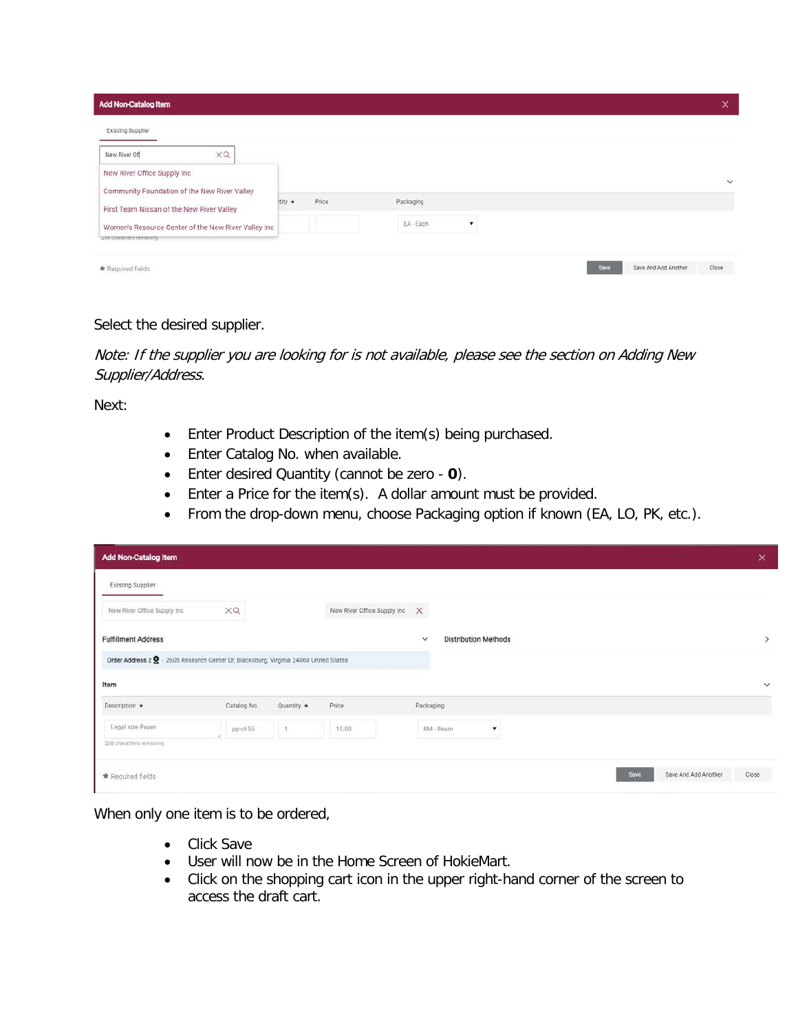| <b>Add Non-Catalog Item</b>                                                    |         |       |           |                          |  |      |                      | $\times$  |
|--------------------------------------------------------------------------------|---------|-------|-----------|--------------------------|--|------|----------------------|-----------|
| <b>Existing Supplier</b>                                                       |         |       |           |                          |  |      |                      |           |
| XQ<br>New River Of                                                             |         |       |           |                          |  |      |                      |           |
| New River Office Supply Inc                                                    |         |       |           |                          |  |      |                      | $\ddot{}$ |
| Community Foundation of the New River Valley                                   | itity ★ | Price | Packaging |                          |  |      |                      |           |
| First Team Nissan of the New River Valley                                      |         |       |           |                          |  |      |                      |           |
| Women's Resource Center of the New River Valley Inc<br>204 CRIMINATES FRIMANNO |         |       | EA - Each | $\overline{\phantom{a}}$ |  |      |                      |           |
| * Required fields                                                              |         |       |           |                          |  | Save | Save And Add Another | Close:    |

Select the desired supplier.

Note: If the supplier you are looking for is not available, please see the section on Adding New Supplier/Address.

Next:

- Enter Product Description of the item(s) being purchased.
- Enter Catalog No. when available.
- Enter desired Quantity (cannot be zero **0**).
- Enter a Price for the item(s). A dollar amount must be provided.
- From the drop-down menu, choose Packaging option if known (EA, LO, PK, etc.).

| Add Non-Catalog Item                                                                |             |                  |                               |                                             |      |                      | $\times$       |
|-------------------------------------------------------------------------------------|-------------|------------------|-------------------------------|---------------------------------------------|------|----------------------|----------------|
| <b>Existing Supplier</b>                                                            |             |                  |                               |                                             |      |                      |                |
| New River Office Supply Inc.                                                        | $\times$ a  |                  | New River Office Supply Inc X |                                             |      |                      |                |
| <b>Fulfillment Address</b>                                                          |             |                  |                               | <b>Distribution Methods</b><br>$\checkmark$ |      |                      | $\overline{ }$ |
| Order Address 2 . 2605 Research Center Dr, Blacksburg, Virginia 24060 United States |             |                  |                               |                                             |      |                      |                |
| Item                                                                                |             |                  |                               |                                             |      |                      | $\checkmark$   |
| Description $\star$                                                                 | Catalog No. | Quantity $\star$ | Price                         | Packaging                                   |      |                      |                |
| Legal size Paper                                                                    | pp-ct-55    | 1.               | 15.00                         | RM - Ream                                   |      |                      |                |
| 238 characters remaining                                                            |             |                  |                               |                                             |      |                      |                |
| * Required fields                                                                   |             |                  |                               |                                             | Save | Save And Add Another | Close          |

When only one item is to be ordered,

- Click Save
- User will now be in the Home Screen of HokieMart.
- Click on the shopping cart icon in the upper right-hand corner of the screen to access the draft cart.